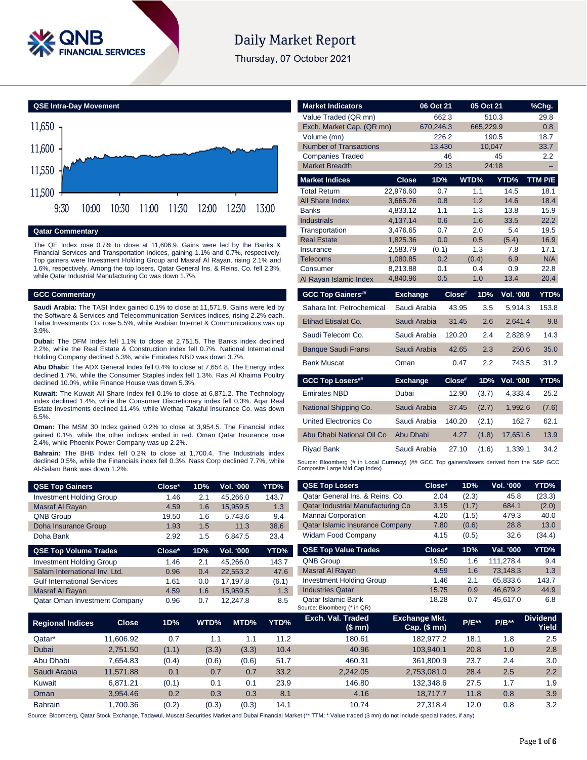

# **Daily Market Report**

Thursday, 07 October 2021



#### **Qatar Commentary**

The QE Index rose 0.7% to close at 11,606.9. Gains were led by the Banks & Financial Services and Transportation indices, gaining 1.1% and 0.7%, respectively. Top gainers were Investment Holding Group and Masraf Al Rayan, rising 2.1% and 1.6%, respectively. Among the top losers, Qatar General Ins. & Reins. Co. fell 2.3%, while Qatar Industrial Manufacturing Co was down 1.7%.

### **GCC Commentary**

**Saudi Arabia:** The TASI Index gained 0.1% to close at 11,571.9. Gains were led by the Software & Services and Telecommunication Services indices, rising 2.2% each. Taiba Investments Co. rose 5.5%, while Arabian Internet & Communications was up 3.9%.

**Dubai:** The DFM Index fell 1.1% to close at 2,751.5. The Banks index declined 2.2%, while the Real Estate & Construction index fell 0.7%. National International Holding Company declined 5.3%, while Emirates NBD was down 3.7%.

**Abu Dhabi:** The ADX General Index fell 0.4% to close at 7,654.8. The Energy index declined 1.7%, while the Consumer Staples index fell 1.3%. Ras Al Khaima Poultry declined 10.0%, while Finance House was down 5.3%.

**Kuwait:** The Kuwait All Share Index fell 0.1% to close at 6,871.2. The Technology index declined 1.4%, while the Consumer Discretionary index fell 0.3%. Aqar Real Estate Investments declined 11.4%, while Wethaq Takaful Insurance Co. was down 6.5%.

**Oman:** The MSM 30 Index gained 0.2% to close at 3,954.5. The Financial index gained 0.1%, while the other indices ended in red. Oman Qatar Insurance rose 2.4%, while Phoenix Power Company was up 2.2%.

**Bahrain:** The BHB Index fell 0.2% to close at 1,700.4. The Industrials index declined 0.5%, while the Financials index fell 0.3%. Nass Corp declined 7.7%, while Al-Salam Bank was down 1.2%.

| <b>QSE Top Gainers</b>          | Close* | 1D% | <b>Vol. '000</b> | YTD%  |
|---------------------------------|--------|-----|------------------|-------|
| <b>Investment Holding Group</b> | 1.46   | 2.1 | 45.266.0         | 143.7 |
| Masraf Al Rayan                 | 4.59   | 1.6 | 15.959.5         | 1.3   |
| QNB Group                       | 19.50  | 1.6 | 5.743.6          | 9.4   |
| Doha Insurance Group            | 1.93   | 1.5 | 11.3             | 38.6  |
| Doha Bank                       | 2.92   | 1.5 | 6.847.5          | 23.4  |

| <b>QSE Top Volume Trades</b>         | Close* | 1D% | <b>Vol. '000</b> | YTD%  |
|--------------------------------------|--------|-----|------------------|-------|
| <b>Investment Holding Group</b>      | 1.46   | 2.1 | 45.266.0         | 143.7 |
| Salam International Inv. Ltd.        | 0.96   | 0.4 | 22.553.2         | 47.6  |
| <b>Gulf International Services</b>   | 1.61   | 0.0 | 17.197.8         | (6.1) |
| Masraf Al Rayan                      | 4.59   | 1.6 | 15.959.5         | 1.3   |
| <b>Qatar Oman Investment Company</b> | 0.96   | 0.7 | 12.247.8         | 8.5   |

| <b>Market Indicators</b>             |                      | 06 Oct 21  | 05 Oct 21  |                  | %Chg.         |
|--------------------------------------|----------------------|------------|------------|------------------|---------------|
| Value Traded (QR mn)                 |                      | 662.3      | 510.3      |                  | 29.8          |
| Exch. Market Cap. (QR mn)            |                      | 670.246.3  | 665.229.9  |                  | 0.8           |
| Volume (mn)                          |                      | 226.2      | 190.5      |                  | 18.7          |
| <b>Number of Transactions</b>        |                      | 13.430     | 10.047     |                  | 33.7          |
| <b>Companies Traded</b>              |                      | 46         |            | 45               | $2.2^{\circ}$ |
| <b>Market Breadth</b>                |                      | 29:13      | 24:18      |                  | -             |
| <b>Market Indices</b>                | <b>Close</b>         | 1D%        | WTD%       | YTD%             | TTM P/E       |
| <b>Total Return</b>                  | 22.976.60            | 0.7        | 1.1        | 14.5             | 18.1          |
| All Share Index                      | 3,665.26             | 0.8        | 1.2        | 14.6             | 18.4          |
| <b>Banks</b>                         | 4,833.12             | 1.1        | 1.3        | 13.8             | 15.9          |
| <b>Industrials</b>                   | 4,137.14             | 0.6        | 1.6        | 33.5             | 22.2          |
| Transportation<br><b>Real Estate</b> | 3,476.65<br>1,825.36 | 0.7<br>0.0 | 2.0<br>0.5 | 5.4<br>(5.4)     | 19.5<br>16.9  |
| Insurance                            | 2,583.79             | (0.1)      | 1.3        | 7.8              | 17.1          |
| <b>Telecoms</b>                      | 1,080.85             | 0.2        | (0.4)      | 6.9              | N/A           |
| Consumer                             | 8.213.88             | 0.1        | 0.4        | 0.9              | 22.8          |
| Al Rayan Islamic Index               | 4,840.96             | 0.5        | 1.0        | 13.4             | 20.4          |
|                                      |                      |            |            |                  |               |
| <b>GCC Top Gainers##</b>             | <b>Exchange</b>      | $Close$ #  | 1D%        | <b>Vol. '000</b> | YTD%          |
| Sahara Int. Petrochemical            | Saudi Arabia         | 43.95      | 3.5        | 5.914.3          | 153.8         |
| Etihad Etisalat Co.                  | Saudi Arabia         | 31.45      | 2.6        | 2.641.4          | 9.8           |
| Saudi Telecom Co.                    | Saudi Arabia         | 120.20     | 2.4        | 2.828.9          | 14.3          |
| <b>Banque Saudi Fransi</b>           | Saudi Arabia         | 42.65      | 2.3        | 250.6            | 35.0          |
| <b>Bank Muscat</b>                   | Oman                 | 0.47       | 2.2        | 743.5            | 31.2          |
| <b>GCC Top Losers##</b>              | <b>Exchange</b>      | Close#     | 1D%        | <b>Vol. '000</b> | YTD%          |
| <b>Emirates NBD</b>                  | Dubai                | 12.90      | (3.7)      | 4.333.4          | 25.2          |
| National Shipping Co.                | Saudi Arabia         | 37.45      | (2.7)      | 1,992.6          | (7.6)         |
| United Electronics Co                | Saudi Arabia         | 140.20     | (2.1)      | 162.7            | 62.1          |
| Abu Dhabi National Oil Co            | Abu Dhabi            | 4.27       | (1.8)      | 17,651.6         | 13.9          |
| <b>Riyad Bank</b>                    | Saudi Arabia         | 27.10      | (1.6)      | 1.339.1          | 34.2          |

| <b>QSE Top Gainers</b>             |              | Close* | 1D%   | Vol. '000 | YTD%  | <b>QSE Top Losers</b>                             | Close*                                   | 1D%        | <b>Vol. '000</b> | YTD%                     |
|------------------------------------|--------------|--------|-------|-----------|-------|---------------------------------------------------|------------------------------------------|------------|------------------|--------------------------|
| <b>Investment Holding Group</b>    |              | 1.46   | 2.1   | 45,266.0  | 143.7 | Qatar General Ins. & Reins. Co.                   | 2.04                                     | (2.3)      | 45.8             | (23.3)                   |
| Masraf Al Rayan                    |              | 4.59   | 1.6   | 15,959.5  | 1.3   | Qatar Industrial Manufacturing Co                 | 3.15                                     | (1.7)      | 684.1            | (2.0)                    |
| QNB Group                          |              | 19.50  | 1.6   | 5,743.6   | 9.4   | Mannai Corporation                                | 4.20                                     | (1.5)      | 479.3            | 40.0                     |
| Doha Insurance Group               |              | 1.93   | 1.5   | 11.3      | 38.6  | Qatar Islamic Insurance Company                   | 7.80                                     | (0.6)      | 28.8             | 13.0                     |
| Doha Bank                          |              | 2.92   | 1.5   | 6,847.5   | 23.4  | <b>Widam Food Company</b>                         | 4.15                                     | (0.5)      | 32.6             | (34.4)                   |
| <b>QSE Top Volume Trades</b>       |              | Close* | 1D%   | Vol. '000 | YTD%  | <b>QSE Top Value Trades</b>                       | Close*                                   | 1D%        | Val. '000        | YTD%                     |
| <b>Investment Holding Group</b>    |              | 1.46   | 2.1   | 45,266.0  | 143.7 | <b>QNB Group</b>                                  | 19.50                                    | 1.6        | 111,278.4        | 9.4                      |
| Salam International Inv. Ltd.      |              | 0.96   | 0.4   | 22,553.2  | 47.6  | Masraf Al Rayan                                   | 4.59                                     | 1.6        | 73,148.3         | 1.3                      |
| <b>Gulf International Services</b> |              | 1.61   | 0.0   | 17,197.8  | (6.1) | <b>Investment Holding Group</b>                   | 1.46                                     | 2.1        | 65,833.6         | 143.7                    |
| <b>Masraf Al Rayan</b>             |              | 4.59   | 1.6   | 15,959.5  | 1.3   | <b>Industries Qatar</b>                           | 15.75                                    | 0.9        | 46,679.2         | 44.9                     |
| Qatar Oman Investment Company      |              | 0.96   | 0.7   | 12,247.8  | 8.5   | Qatar Islamic Bank<br>Source: Bloomberg (* in QR) | 18.28                                    | 0.7        | 45,617.0         | 6.8                      |
| <b>Regional Indices</b>            | <b>Close</b> | 1D%    | WTD%  | MTD%      | YTD%  | Exch. Val. Traded<br>(\$mn)                       | <b>Exchange Mkt.</b><br>Cap. $($$ mn $)$ | $P/E^{**}$ | $P/B**$          | <b>Dividend</b><br>Yield |
| Qatar*                             | 11,606.92    | 0.7    | 1.1   | 1.1       | 11.2  | 180.61                                            | 182,977.2                                | 18.1       | 1.8              | 2.5                      |
| Dubai                              | 2,751.50     | (1.1)  | (3.3) | (3.3)     | 10.4  | 40.96                                             | 103,940.1                                | 20.8       | 1.0              | 2.8                      |
| Abu Dhabi                          | 7.654.83     | (0.4)  | (0.6) | (0.6)     | 51.7  | 460.31                                            | 361,800.9                                | 23.7       | 2.4              | 3.0                      |
| Saudi Arabia                       | 11,571.88    | 0.1    | 0.7   | 0.7       | 33.2  | 2,242.05                                          | 2,753,081.0                              | 28.4       | 2.5              | 2.2                      |
| Kuwait                             | 6,871.21     | (0.1)  | 0.1   | 0.1       | 23.9  | 146.80                                            | 132,348.6                                | 27.5       | 1.7              | 1.9                      |
| Oman                               | 3,954.46     | 0.2    | 0.3   | 0.3       | 8.1   | 4.16                                              | 18,717.7                                 | 11.8       | 0.8              | 3.9                      |

Source: Bloomberg, Qatar Stock Exchange, Tadawul, Muscat Securities Market and Dubai Financial Market (\*\* TTM; \* Value traded (\$ mn) do not include special trades, if any)

Bahrain 1,700.36 (0.2) (0.3) (0.3) 14.1 10.74 27,318.4 12.0 0.8 3.2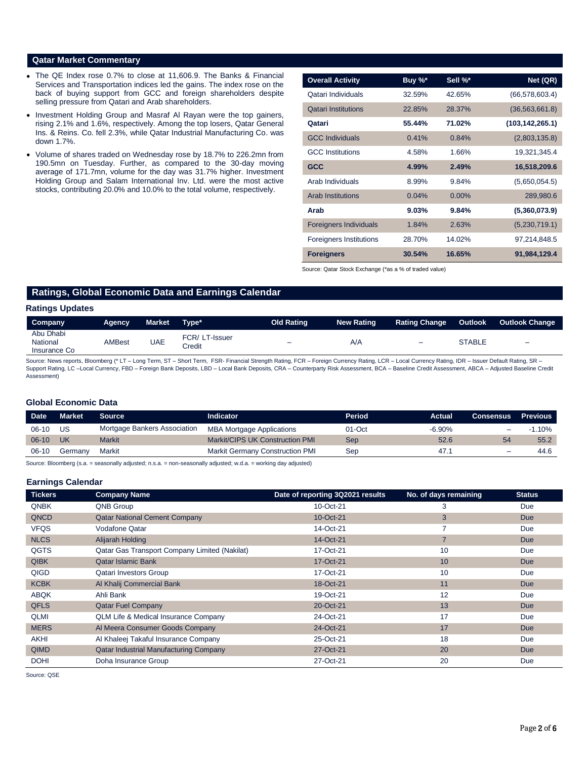### **Qatar Market Commentary**

- The QE Index rose 0.7% to close at 11,606.9. The Banks & Financial Services and Transportation indices led the gains. The index rose on the back of buying support from GCC and foreign shareholders despite selling pressure from Qatari and Arab shareholders.
- Investment Holding Group and Masraf Al Rayan were the top gainers, rising 2.1% and 1.6%, respectively. Among the top losers, Qatar General Ins. & Reins. Co. fell 2.3%, while Qatar Industrial Manufacturing Co. was down 1.7%.
- Volume of shares traded on Wednesday rose by 18.7% to 226.2mn from 190.5mn on Tuesday. Further, as compared to the 30-day moving average of 171.7mn, volume for the day was 31.7% higher. Investment Holding Group and Salam International Inv. Ltd. were the most active stocks, contributing 20.0% and 10.0% to the total volume, respectively.

| <b>Overall Activity</b>        | Buy %* | Sell %*  | Net (QR)          |
|--------------------------------|--------|----------|-------------------|
| Qatari Individuals             | 32.59% | 42.65%   | (66, 578, 603.4)  |
| <b>Qatari Institutions</b>     | 22.85% | 28.37%   | (36, 563, 661.8)  |
| Qatari                         | 55.44% | 71.02%   | (103, 142, 265.1) |
| <b>GCC Individuals</b>         | 0.41%  | 0.84%    | (2,803,135.8)     |
| <b>GCC</b> Institutions        | 4.58%  | 1.66%    | 19,321,345.4      |
| <b>GCC</b>                     | 4.99%  | 2.49%    | 16,518,209.6      |
| Arab Individuals               | 8.99%  | 9.84%    | (5,650,054.5)     |
| <b>Arab Institutions</b>       | 0.04%  | $0.00\%$ | 289,980.6         |
| Arab                           | 9.03%  | 9.84%    | (5,360,073.9)     |
| <b>Foreigners Individuals</b>  | 1.84%  | 2.63%    | (5,230,719.1)     |
| <b>Foreigners Institutions</b> | 28.70% | 14.02%   | 97,214,848.5      |
| <b>Foreigners</b>              | 30.54% | 16.65%   | 91,984,129.4      |

Source: Qatar Stock Exchange (\*as a % of traded value)

# **Ratings, Global Economic Data and Earnings Calendar**

#### **Ratings Updates**

| Company                               | Agency        | Market | Type*                   | Old Rating               | <b>New Rating</b> | <b>Rating Change</b> | Outlook       | <b>Outlook Change</b>    |
|---------------------------------------|---------------|--------|-------------------------|--------------------------|-------------------|----------------------|---------------|--------------------------|
| Abu Dhabi<br>National<br>Insurance Co | <b>AMBest</b> | UAE    | FCR/LT-Issuer<br>Credit | $\overline{\phantom{0}}$ | A/A               | $\equiv$             | <b>STABLE</b> | $\overline{\phantom{a}}$ |

Source: News reports, Bloomberg (\* LT - Long Term, ST - Short Term, FSR- Financial Strength Rating, FCR - Foreign Currency Rating, LCR - Local Currency Rating, IDR - Issuer Default Rating, SR -Support Rating, LC –Local Currency, FBD – Foreign Bank Deposits, LBD – Local Bank Deposits, CRA – Counterparty Risk Assessment, BCA – Baseline Credit Assessment, ABCA – Adjusted Baseline Credit Assessment)

#### **Global Economic Data**

| <b>Date</b> | Market  | <b>Source</b>                | Indicator                              | Period | Actual    | <b>Consensus Previous</b>    |           |
|-------------|---------|------------------------------|----------------------------------------|--------|-----------|------------------------------|-----------|
| $06-10$     | US      | Mortgage Bankers Association | <b>MBA Mortgage Applications</b>       | 01-Oct | $-6.90\%$ |                              | $-1.10\%$ |
| $06-10$     | UK      | <b>Markit</b>                | <b>Markit/CIPS UK Construction PMI</b> | Sep    | 52.6      | 54                           | 55.2      |
| $06-10$     | Germanv | Markit                       | <b>Markit Germany Construction PMI</b> | Sep    | 47.1      | $\qquad \qquad \blacksquare$ | 44.6      |

Source: Bloomberg (s.a. = seasonally adjusted; n.s.a. = non-seasonally adjusted; w.d.a. = working day adjusted)

#### **Earnings Calendar**

| <b>Tickers</b> | <b>Company Name</b>                           | Date of reporting 3Q2021 results | No. of days remaining | <b>Status</b> |
|----------------|-----------------------------------------------|----------------------------------|-----------------------|---------------|
| <b>QNBK</b>    | <b>QNB Group</b>                              | 10-Oct-21                        | 3                     | Due           |
| QNCD           | <b>Qatar National Cement Company</b>          | 10-Oct-21                        | 3                     | <b>Due</b>    |
| <b>VFQS</b>    | Vodafone Qatar                                | 14-Oct-21                        | $\overline{7}$        | Due           |
| <b>NLCS</b>    | Alijarah Holding                              | 14-Oct-21                        | $\overline{7}$        | <b>Due</b>    |
| QGTS           | Qatar Gas Transport Company Limited (Nakilat) | 17-Oct-21                        | 10                    | Due           |
| <b>QIBK</b>    | <b>Qatar Islamic Bank</b>                     | 17-Oct-21                        | 10                    | <b>Due</b>    |
| QIGD           | <b>Qatari Investors Group</b>                 | 17-Oct-21                        | 10                    | Due           |
| <b>KCBK</b>    | Al Khalij Commercial Bank                     | 18-Oct-21                        | 11                    | <b>Due</b>    |
| <b>ABQK</b>    | Ahli Bank                                     | 19-Oct-21                        | 12                    | Due           |
| <b>QFLS</b>    | <b>Qatar Fuel Company</b>                     | 20-Oct-21                        | 13                    | <b>Due</b>    |
| QLMI           | QLM Life & Medical Insurance Company          | 24-Oct-21                        | 17                    | Due           |
| <b>MERS</b>    | Al Meera Consumer Goods Company               | 24-Oct-21                        | 17                    | <b>Due</b>    |
| <b>AKHI</b>    | Al Khaleej Takaful Insurance Company          | 25-Oct-21                        | 18                    | Due           |
| <b>QIMD</b>    | <b>Qatar Industrial Manufacturing Company</b> | 27-Oct-21                        | 20                    | <b>Due</b>    |
| <b>DOHI</b>    | Doha Insurance Group                          | 27-Oct-21                        | 20                    | Due           |

Source: QSE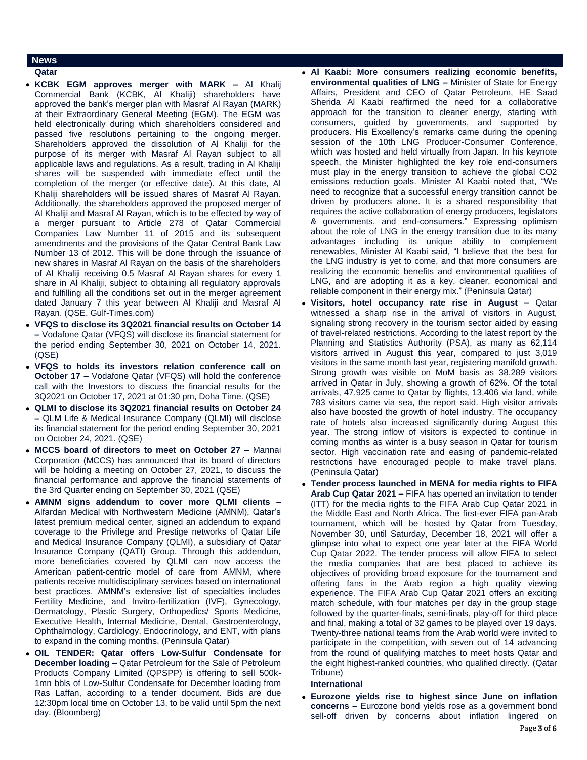### **News**

#### **Qatar**

- **KCBK EGM approves merger with MARK –** Al Khalij Commercial Bank (KCBK, Al Khaliji) shareholders have approved the bank's merger plan with Masraf Al Rayan (MARK) at their Extraordinary General Meeting (EGM). The EGM was held electronically during which shareholders considered and passed five resolutions pertaining to the ongoing merger. Shareholders approved the dissolution of Al Khaliji for the purpose of its merger with Masraf Al Rayan subject to all applicable laws and regulations. As a result, trading in Al Khaliji shares will be suspended with immediate effect until the completion of the merger (or effective date). At this date, Al Khaliji shareholders will be issued shares of Masraf Al Rayan. Additionally, the shareholders approved the proposed merger of Al Khaliji and Masraf Al Rayan, which is to be effected by way of a merger pursuant to Article 278 of Qatar Commercial Companies Law Number 11 of 2015 and its subsequent amendments and the provisions of the Qatar Central Bank Law Number 13 of 2012. This will be done through the issuance of new shares in Masraf Al Rayan on the basis of the shareholders of Al Khaliji receiving 0.5 Masraf Al Rayan shares for every 1 share in Al Khaliji, subject to obtaining all regulatory approvals and fulfilling all the conditions set out in the merger agreement dated January 7 this year between Al Khaliji and Masraf Al Rayan. (QSE, Gulf-Times.com)
- **VFQS to disclose its 3Q2021 financial results on October 14 –** Vodafone Qatar (VFQS) will disclose its financial statement for the period ending September 30, 2021 on October 14, 2021. (QSE)
- **VFQS to holds its investors relation conference call on October 17 –** Vodafone Qatar (VFQS) will hold the conference call with the Investors to discuss the financial results for the 3Q2021 on October 17, 2021 at 01:30 pm, Doha Time. (QSE)
- **QLMI to disclose its 3Q2021 financial results on October 24 –** QLM Life & Medical Insurance Company (QLMI) will disclose its financial statement for the period ending September 30, 2021 on October 24, 2021. (QSE)
- **MCCS board of directors to meet on October 27 –** Mannai Corporation (MCCS) has announced that its board of directors will be holding a meeting on October 27, 2021, to discuss the financial performance and approve the financial statements of the 3rd Quarter ending on September 30, 2021 (QSE)
- **AMNM signs addendum to cover more QLMI clients –** Alfardan Medical with Northwestern Medicine (AMNM), Qatar's latest premium medical center, signed an addendum to expand coverage to the Privilege and Prestige networks of Qatar Life and Medical Insurance Company (QLMI), a subsidiary of Qatar Insurance Company (QATI) Group. Through this addendum, more beneficiaries covered by QLMI can now access the American patient-centric model of care from AMNM, where patients receive multidisciplinary services based on international best practices. AMNM's extensive list of specialties includes Fertility Medicine, and Invitro-fertilization (IVF), Gynecology, Dermatology, Plastic Surgery, Orthopedics/ Sports Medicine, Executive Health, Internal Medicine, Dental, Gastroenterology, Ophthalmology, Cardiology, Endocrinology, and ENT, with plans to expand in the coming months. (Peninsula Qatar)
- **OIL TENDER: Qatar offers Low-Sulfur Condensate for December loading –** Qatar Petroleum for the Sale of Petroleum Products Company Limited (QPSPP) is offering to sell 500k-1mn bbls of Low-Sulfur Condensate for December loading from Ras Laffan, according to a tender document. Bids are due 12:30pm local time on October 13, to be valid until 5pm the next day. (Bloomberg)
- **Al Kaabi: More consumers realizing economic benefits, environmental qualities of LNG –** Minister of State for Energy Affairs, President and CEO of Qatar Petroleum, HE Saad Sherida Al Kaabi reaffirmed the need for a collaborative approach for the transition to cleaner energy, starting with consumers, guided by governments, and supported by producers. His Excellency's remarks came during the opening session of the 10th LNG Producer-Consumer Conference, which was hosted and held virtually from Japan. In his keynote speech, the Minister highlighted the key role end-consumers must play in the energy transition to achieve the global CO2 emissions reduction goals. Minister Al Kaabi noted that, "We need to recognize that a successful energy transition cannot be driven by producers alone. It is a shared responsibility that requires the active collaboration of energy producers, legislators & governments, and end-consumers." Expressing optimism about the role of LNG in the energy transition due to its many advantages including its unique ability to complement renewables, Minister Al Kaabi said, "I believe that the best for the LNG industry is yet to come, and that more consumers are realizing the economic benefits and environmental qualities of LNG, and are adopting it as a key, cleaner, economical and reliable component in their energy mix." (Peninsula Qatar)
- **Visitors, hotel occupancy rate rise in August –** Qatar witnessed a sharp rise in the arrival of visitors in August, signaling strong recovery in the tourism sector aided by easing of travel-related restrictions. According to the latest report by the Planning and Statistics Authority (PSA), as many as 62,114 visitors arrived in August this year, compared to just 3,019 visitors in the same month last year, registering manifold growth. Strong growth was visible on MoM basis as 38,289 visitors arrived in Qatar in July, showing a growth of 62%. Of the total arrivals, 47,925 came to Qatar by flights, 13,406 via land, while 783 visitors came via sea, the report said. High visitor arrivals also have boosted the growth of hotel industry. The occupancy rate of hotels also increased significantly during August this year. The strong inflow of visitors is expected to continue in coming months as winter is a busy season in Qatar for tourism sector. High vaccination rate and easing of pandemic-related restrictions have encouraged people to make travel plans. (Peninsula Qatar)
- **Tender process launched in MENA for media rights to FIFA Arab Cup Qatar 2021 –** FIFA has opened an invitation to tender (ITT) for the media rights to the FIFA Arab Cup Qatar 2021 in the Middle East and North Africa. The first-ever FIFA pan-Arab tournament, which will be hosted by Qatar from Tuesday, November 30, until Saturday, December 18, 2021 will offer a glimpse into what to expect one year later at the FIFA World Cup Qatar 2022. The tender process will allow FIFA to select the media companies that are best placed to achieve its objectives of providing broad exposure for the tournament and offering fans in the Arab region a high quality viewing experience. The FIFA Arab Cup Qatar 2021 offers an exciting match schedule, with four matches per day in the group stage followed by the quarter-finals, semi-finals, play-off for third place and final, making a total of 32 games to be played over 19 days. Twenty-three national teams from the Arab world were invited to participate in the competition, with seven out of 14 advancing from the round of qualifying matches to meet hosts Qatar and the eight highest-ranked countries, who qualified directly. (Qatar Tribune)

#### **International**

 **Eurozone yields rise to highest since June on inflation concerns –** Eurozone bond yields rose as a government bond sell-off driven by concerns about inflation lingered on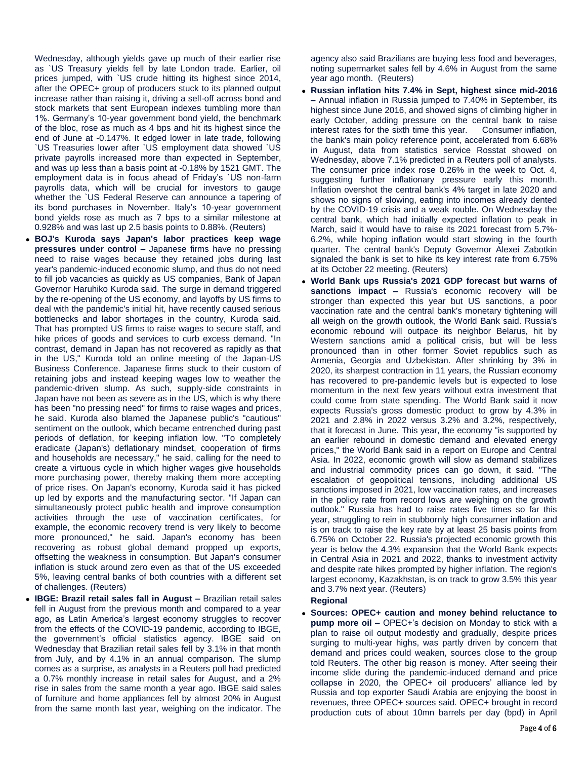Wednesday, although yields gave up much of their earlier rise as `US Treasury yields fell by late London trade. Earlier, oil prices jumped, with `US crude hitting its highest since 2014, after the OPEC+ group of producers stuck to its planned output increase rather than raising it, driving a sell-off across bond and stock markets that sent European indexes tumbling more than 1%. Germany's 10-year government bond yield, the benchmark of the bloc, rose as much as 4 bps and hit its highest since the end of June at -0.147%. It edged lower in late trade, following `US Treasuries lower after `US employment data showed `US private payrolls increased more than expected in September, and was up less than a basis point at -0.18% by 1521 GMT. The employment data is in focus ahead of Friday's `US non-farm payrolls data, which will be crucial for investors to gauge whether the `US Federal Reserve can announce a tapering of its bond purchases in November. Italy's 10-year government bond yields rose as much as 7 bps to a similar milestone at 0.928% and was last up 2.5 basis points to 0.88%. (Reuters)

- **BOJ's Kuroda says Japan's labor practices keep wage pressures under control –** Japanese firms have no pressing need to raise wages because they retained jobs during last year's pandemic-induced economic slump, and thus do not need to fill job vacancies as quickly as US companies, Bank of Japan Governor Haruhiko Kuroda said. The surge in demand triggered by the re-opening of the US economy, and layoffs by US firms to deal with the pandemic's initial hit, have recently caused serious bottlenecks and labor shortages in the country, Kuroda said. That has prompted US firms to raise wages to secure staff, and hike prices of goods and services to curb excess demand. "In contrast, demand in Japan has not recovered as rapidly as that in the US," Kuroda told an online meeting of the Japan-US Business Conference. Japanese firms stuck to their custom of retaining jobs and instead keeping wages low to weather the pandemic-driven slump. As such, supply-side constraints in Japan have not been as severe as in the US, which is why there has been "no pressing need" for firms to raise wages and prices, he said. Kuroda also blamed the Japanese public's "cautious" sentiment on the outlook, which became entrenched during past periods of deflation, for keeping inflation low. "To completely eradicate (Japan's) deflationary mindset, cooperation of firms and households are necessary," he said, calling for the need to create a virtuous cycle in which higher wages give households more purchasing power, thereby making them more accepting of price rises. On Japan's economy, Kuroda said it has picked up led by exports and the manufacturing sector. "If Japan can simultaneously protect public health and improve consumption activities through the use of vaccination certificates, for example, the economic recovery trend is very likely to become more pronounced," he said. Japan's economy has been recovering as robust global demand propped up exports, offsetting the weakness in consumption. But Japan's consumer inflation is stuck around zero even as that of the US exceeded 5%, leaving central banks of both countries with a different set of challenges. (Reuters)
- **IBGE: Brazil retail sales fall in August –** Brazilian retail sales fell in August from the previous month and compared to a year ago, as Latin America's largest economy struggles to recover from the effects of the COVID-19 pandemic, according to IBGE, the government's official statistics agency. IBGE said on Wednesday that Brazilian retail sales fell by 3.1% in that month from July, and by 4.1% in an annual comparison. The slump comes as a surprise, as analysts in a Reuters poll had predicted a 0.7% monthly increase in retail sales for August, and a 2% rise in sales from the same month a year ago. IBGE said sales of furniture and home appliances fell by almost 20% in August from the same month last year, weighing on the indicator. The

agency also said Brazilians are buying less food and beverages, noting supermarket sales fell by 4.6% in August from the same year ago month. (Reuters)

- **Russian inflation hits 7.4% in Sept, highest since mid-2016 –** Annual inflation in Russia jumped to 7.40% in September, its highest since June 2016, and showed signs of climbing higher in early October, adding pressure on the central bank to raise interest rates for the sixth time this year. Consumer inflation, interest rates for the sixth time this year. the bank's main policy reference point, accelerated from 6.68% in August, data from statistics service Rosstat showed on Wednesday, above 7.1% predicted in a Reuters poll of analysts. The consumer price index rose 0.26% in the week to Oct. 4, suggesting further inflationary pressure early this month. Inflation overshot the central bank's 4% target in late 2020 and shows no signs of slowing, eating into incomes already dented by the COVID-19 crisis and a weak rouble. On Wednesday the central bank, which had initially expected inflation to peak in March, said it would have to raise its 2021 forecast from 5.7%- 6.2%, while hoping inflation would start slowing in the fourth quarter. The central bank's Deputy Governor Alexei Zabotkin signaled the bank is set to hike its key interest rate from 6.75% at its October 22 meeting. (Reuters)
- **World Bank ups Russia's 2021 GDP forecast but warns of**  sanctions impact - Russia's economic recovery will be stronger than expected this year but US sanctions, a poor vaccination rate and the central bank's monetary tightening will all weigh on the growth outlook, the World Bank said. Russia's economic rebound will outpace its neighbor Belarus, hit by Western sanctions amid a political crisis, but will be less pronounced than in other former Soviet republics such as Armenia, Georgia and Uzbekistan. After shrinking by 3% in 2020, its sharpest contraction in 11 years, the Russian economy has recovered to pre-pandemic levels but is expected to lose momentum in the next few years without extra investment that could come from state spending. The World Bank said it now expects Russia's gross domestic product to grow by 4.3% in 2021 and 2.8% in 2022 versus 3.2% and 3.2%, respectively, that it forecast in June. This year, the economy "is supported by an earlier rebound in domestic demand and elevated energy prices," the World Bank said in a report on Europe and Central Asia. In 2022, economic growth will slow as demand stabilizes and industrial commodity prices can go down, it said. "The escalation of geopolitical tensions, including additional US sanctions imposed in 2021, low vaccination rates, and increases in the policy rate from record lows are weighing on the growth outlook." Russia has had to raise rates five times so far this year, struggling to rein in stubbornly high consumer inflation and is on track to raise the key rate by at least 25 basis points from 6.75% on October 22. Russia's projected economic growth this year is below the 4.3% expansion that the World Bank expects in Central Asia in 2021 and 2022, thanks to investment activity and despite rate hikes prompted by higher inflation. The region's largest economy, Kazakhstan, is on track to grow 3.5% this year and 3.7% next year. (Reuters)

## **Regional**

 **Sources: OPEC+ caution and money behind reluctance to pump more oil –** OPEC+'s decision on Monday to stick with a plan to raise oil output modestly and gradually, despite prices surging to multi-year highs, was partly driven by concern that demand and prices could weaken, sources close to the group told Reuters. The other big reason is money. After seeing their income slide during the pandemic-induced demand and price collapse in 2020, the OPEC+ oil producers' alliance led by Russia and top exporter Saudi Arabia are enjoying the boost in revenues, three OPEC+ sources said. OPEC+ brought in record production cuts of about 10mn barrels per day (bpd) in April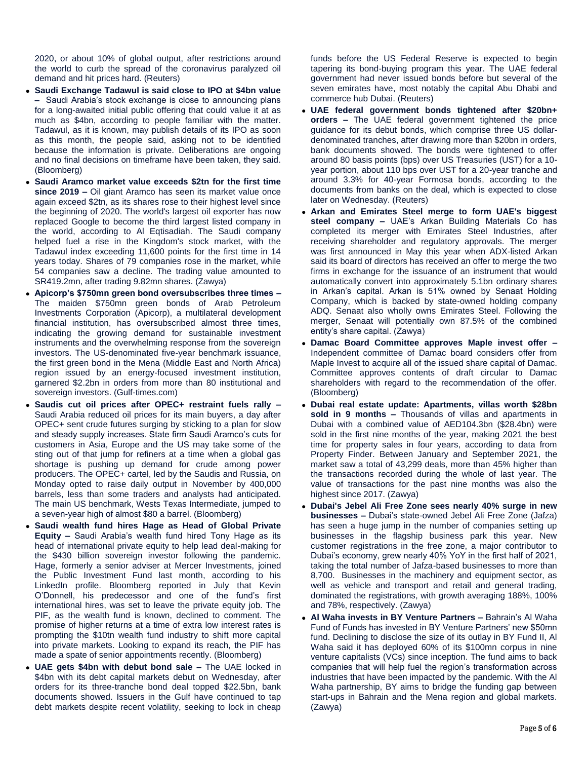2020, or about 10% of global output, after restrictions around the world to curb the spread of the coronavirus paralyzed oil demand and hit prices hard. (Reuters)

- **Saudi Exchange Tadawul is said close to IPO at \$4bn value –** Saudi Arabia's stock exchange is close to announcing plans for a long-awaited initial public offering that could value it at as much as \$4bn, according to people familiar with the matter. Tadawul, as it is known, may publish details of its IPO as soon as this month, the people said, asking not to be identified because the information is private. Deliberations are ongoing and no final decisions on timeframe have been taken, they said. (Bloomberg)
- **Saudi Aramco market value exceeds \$2tn for the first time since 2019 –** Oil giant Aramco has seen its market value once again exceed \$2tn, as its shares rose to their highest level since the beginning of 2020. The world's largest oil exporter has now replaced Google to become the third largest listed company in the world, according to Al Eqtisadiah. The Saudi company helped fuel a rise in the Kingdom's stock market, with the Tadawul index exceeding 11,600 points for the first time in 14 years today. Shares of 79 companies rose in the market, while 54 companies saw a decline. The trading value amounted to SR419.2mn, after trading 9.82mn shares. (Zawya)
- **Apicorp's \$750mn green bond oversubscribes three times –** The maiden \$750mn green bonds of Arab Petroleum Investments Corporation (Apicorp), a multilateral development financial institution, has oversubscribed almost three times, indicating the growing demand for sustainable investment instruments and the overwhelming response from the sovereign investors. The US-denominated five-year benchmark issuance, the first green bond in the Mena (Middle East and North Africa) region issued by an energy-focused investment institution, garnered \$2.2bn in orders from more than 80 institutional and sovereign investors. (Gulf-times.com)
- **Saudis cut oil prices after OPEC+ restraint fuels rally –** Saudi Arabia reduced oil prices for its main buyers, a day after OPEC+ sent crude futures surging by sticking to a plan for slow and steady supply increases. State firm Saudi Aramco's cuts for customers in Asia, Europe and the US may take some of the sting out of that jump for refiners at a time when a global gas shortage is pushing up demand for crude among power producers. The OPEC+ cartel, led by the Saudis and Russia, on Monday opted to raise daily output in November by 400,000 barrels, less than some traders and analysts had anticipated. The main US benchmark, Wests Texas Intermediate, jumped to a seven-year high of almost \$80 a barrel. (Bloomberg)
- **Saudi wealth fund hires Hage as Head of Global Private Equity –** Saudi Arabia's wealth fund hired Tony Hage as its head of international private equity to help lead deal-making for the \$430 billion sovereign investor following the pandemic. Hage, formerly a senior adviser at Mercer Investments, joined the Public Investment Fund last month, according to his LinkedIn profile. Bloomberg reported in July that Kevin O'Donnell, his predecessor and one of the fund's first international hires, was set to leave the private equity job. The PIF, as the wealth fund is known, declined to comment. The promise of higher returns at a time of extra low interest rates is prompting the \$10tn wealth fund industry to shift more capital into private markets. Looking to expand its reach, the PIF has made a spate of senior appointments recently. (Bloomberg)
- **UAE gets \$4bn with debut bond sale –** The UAE locked in \$4bn with its debt capital markets debut on Wednesday, after orders for its three-tranche bond deal topped \$22.5bn, bank documents showed. Issuers in the Gulf have continued to tap debt markets despite recent volatility, seeking to lock in cheap

funds before the US Federal Reserve is expected to begin tapering its bond-buying program this year. The UAE federal government had never issued bonds before but several of the seven emirates have, most notably the capital Abu Dhabi and commerce hub Dubai. (Reuters)

- **UAE federal government bonds tightened after \$20bn+ orders –** The UAE federal government tightened the price guidance for its debut bonds, which comprise three US dollardenominated tranches, after drawing more than \$20bn in orders, bank documents showed. The bonds were tightened to offer around 80 basis points (bps) over US Treasuries (UST) for a 10 year portion, about 110 bps over UST for a 20-year tranche and around 3.3% for 40-year Formosa bonds, according to the documents from banks on the deal, which is expected to close later on Wednesday. (Reuters)
- **Arkan and Emirates Steel merge to form UAE's biggest steel company –** UAE's Arkan Building Materials Co has completed its merger with Emirates Steel Industries, after receiving shareholder and regulatory approvals. The merger was first announced in May this year when ADX-listed Arkan said its board of directors has received an offer to merge the two firms in exchange for the issuance of an instrument that would automatically convert into approximately 5.1bn ordinary shares in Arkan's capital. Arkan is 51% owned by Senaat Holding Company, which is backed by state-owned holding company ADQ. Senaat also wholly owns Emirates Steel. Following the merger, Senaat will potentially own 87.5% of the combined entity's share capital. (Zawya)
- **Damac Board Committee approves Maple invest offer –** Independent committee of Damac board considers offer from Maple Invest to acquire all of the issued share capital of Damac. Committee approves contents of draft circular to Damac shareholders with regard to the recommendation of the offer. (Bloomberg)
- **Dubai real estate update: Apartments, villas worth \$28bn sold in 9 months –** Thousands of villas and apartments in Dubai with a combined value of AED104.3bn (\$28.4bn) were sold in the first nine months of the year, making 2021 the best time for property sales in four years, according to data from Property Finder. Between January and September 2021, the market saw a total of 43,299 deals, more than 45% higher than the transactions recorded during the whole of last year. The value of transactions for the past nine months was also the highest since 2017. (Zawya)
- **Dubai's Jebel Ali Free Zone sees nearly 40% surge in new businesses –** Dubai's state-owned Jebel Ali Free Zone (Jafza) has seen a huge jump in the number of companies setting up businesses in the flagship business park this year. New customer registrations in the free zone, a major contributor to Dubai's economy, grew nearly 40% YoY in the first half of 2021, taking the total number of Jafza-based businesses to more than 8,700. Businesses in the machinery and equipment sector, as well as vehicle and transport and retail and general trading, dominated the registrations, with growth averaging 188%, 100% and 78%, respectively. (Zawya)
- **Al Waha invests in BY Venture Partners –** Bahrain's Al Waha Fund of Funds has invested in BY Venture Partners' new \$50mn fund. Declining to disclose the size of its outlay in BY Fund II, Al Waha said it has deployed 60% of its \$100mn corpus in nine venture capitalists (VCs) since inception. The fund aims to back companies that will help fuel the region's transformation across industries that have been impacted by the pandemic. With the Al Waha partnership, BY aims to bridge the funding gap between start-ups in Bahrain and the Mena region and global markets. (Zawya)